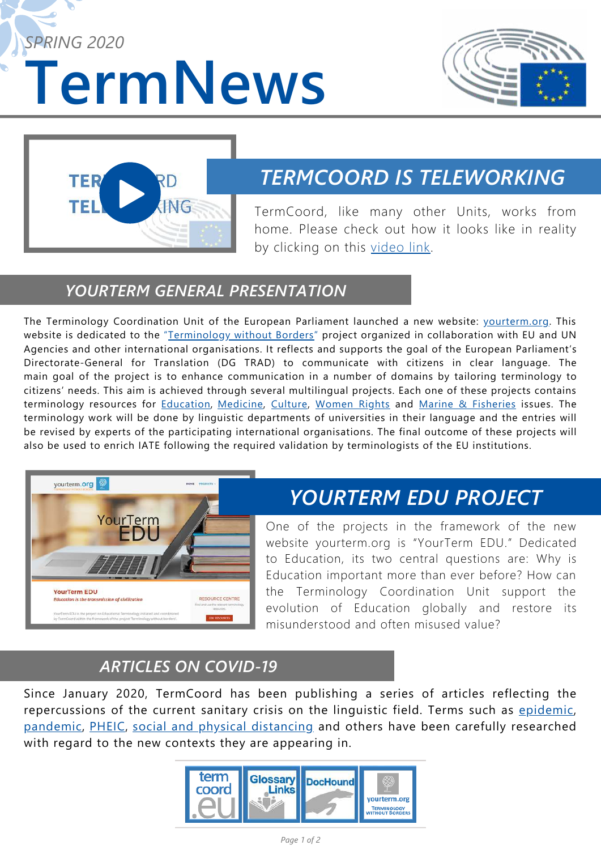**TermNews** *SPRING 2020*





## *TERMCOORD IS TELEWORKING*

TermCoord, like many other Units, works from home. Please check out how it looks like in reality by clicking on this [video link.](https://www.youtube.com/watch?v=xiiFiSMn1Mg&feature=youtu.be)

### *YOURTERM GENERAL PRESENTATION*

The Terminology Coordination Unit of the European Parliament launched a new website: vourterm.org. This website is dedicated to the "*[Terminology without Borders](https://yourterm.org/)*" project organized in collaboration with EU and UN Agencies and other international organisations. It reflects and supports the goal of the European Parliament's Directorate-General for Translation (DG TRAD) to communicate with citizens in clear language. The main goal of the project is to enhance communication in a number of domains by tailoring terminology to citizens' needs. This aim is achieved through several multilingual projects. Each one of these projects contains terminology resources for [Education,](https://yourterm.org/yourterm-edu/) [Medicine](https://yourterm.org/yourterm-med/), [Culture](https://yourterm.org/yourterm-cult/), [Women Rights](https://yourterm.org/yourterm-fem/) and [Marine & Fisheries](https://yourterm.org/yourterm-mare/) issues. The terminology work will be done by linguistic departments of universities in their language and the entries will be revised by experts of the participating international organisations. The final outcome of these projects will also be used to enrich IATE following the required validation by terminologists of the EU institutions.



# *YOURTERM EDU PROJECT*

One of the projects in the framework of the new [website yourterm.org is "YourTerm EDU." Dedicated](https://www.youtube.com/watch?v=xiiFiSMn1Mg&feature=youtu.be) to Education, its two central questions are: Why is Education important more than ever before? How can the Terminology Coordination Unit support the evolution of Education globally and restore its misunderstood and often misused value?

### *ARTICLES ON COVID-19*

Since January 2020, TermCoord has been publishing a series of articles reflecting the repercussions of the current sanitary crisis on the linguistic field. Terms such as [epidemic,](https://termcoord.eu/2020/01/iate-term-of-the-week-epidemic/) [pandemic,](https://termcoord.eu/2020/03/iate-term-of-the-week-pandemic/) [PHEIC](https://termcoord.eu/2020/02/iate-term-of-the-week-pheic/), [social and physical distancing](https://termcoord.eu/2020/04/iate-term-of-the-week-social-and-physical-distancing/) and others have been carefully researched with regard to the new contexts they are appearing in.